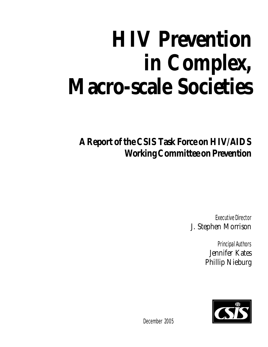# **HIV Prevention in Complex, Macro-scale Societies**

**A Report of the CSIS Task Force on HIV/AIDS Working Committee on Prevention**

> Executive Director J. Stephen Morrison

> > Principal Authors Jennifer Kates Phillip Nieburg



December 2005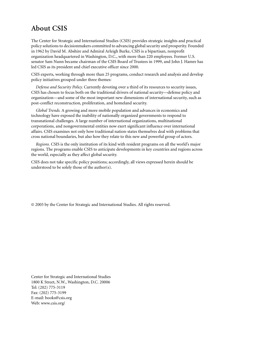#### **About CSIS**

The Center for Strategic and International Studies (CSIS) provides strategic insights and practical policy solutions to decisionmakers committed to advancing global security and prosperity. Founded in 1962 by David M. Abshire and Admiral Arleigh Burke, CSIS is a bipartisan, nonprofit organization headquartered in Washington, D.C., with more than 220 employees. Former U.S. senator Sam Nunn became chairman of the CSIS Board of Trustees in 1999, and John J. Hamre has led CSIS as its president and chief executive officer since 2000.

CSIS experts, working through more than 25 programs, conduct research and analysis and develop policy initiatives grouped under three themes:

*Defense and Security Policy.* Currently devoting over a third of its resources to security issues, CSIS has chosen to focus both on the traditional drivers of national security—defense policy and organization—and some of the most important new dimensions of international security, such as post-conflict reconstruction, proliferation, and homeland security.

*Global Trends.* A growing and more mobile population and advances in economics and technology have exposed the inability of nationally organized governments to respond to transnational challenges. A large number of international organizations, multinational corporations, and nongovernmental entities now exert significant influence over international affairs. CSIS examines not only how traditional nation-states themselves deal with problems that cross national boundaries, but also how they relate to this new and powerful group of actors.

*Regions.* CSIS is the only institution of its kind with resident programs on all the world's major regions. The programs enable CSIS to anticipate developments in key countries and regions across the world, especially as they affect global security.

CSIS does not take specific policy positions; accordingly, all views expressed herein should be understood to be solely those of the author(s).

© 2005 by the Center for Strategic and International Studies. All rights reserved.

Center for Strategic and International Studies 1800 K Street, N.W., Washington, D.C. 20006 Tel: (202) 775-3119 Fax: (202) 775-3199 E-mail: books@csis.org Web: www.csis.org/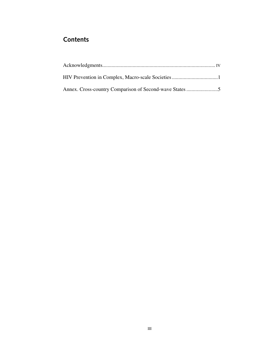#### **Contents**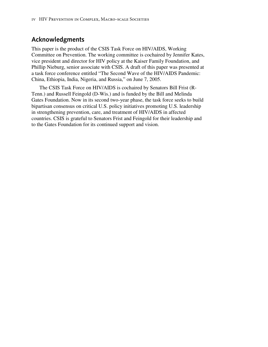#### **Acknowledgments**

This paper is the product of the CSIS Task Force on HIV/AIDS, Working Committee on Prevention. The working committee is cochaired by Jennifer Kates, vice president and director for HIV policy at the Kaiser Family Foundation, and Phillip Nieburg, senior associate with CSIS. A draft of this paper was presented at a task force conference entitled "The Second Wave of the HIV/AIDS Pandemic: China, Ethiopia, India, Nigeria, and Russia," on June 7, 2005.

The CSIS Task Force on HIV/AIDS is cochaired by Senators Bill Frist (R-Tenn.) and Russell Feingold (D-Wis.) and is funded by the Bill and Melinda Gates Foundation. Now in its second two-year phase, the task force seeks to build bipartisan consensus on critical U.S. policy initiatives promoting U.S. leadership in strengthening prevention, care, and treatment of HIV/AIDS in affected countries. CSIS is grateful to Senators Frist and Feingold for their leadership and to the Gates Foundation for its continued support and vision.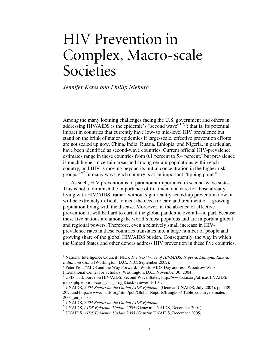## HIV Prevention in Complex, Macro-scale Societies

*Jennifer Kates and Phillip Nieburg* 

Among the many looming challenges facing the U.S. government and others in addressing HIV/AIDS is the epidemic's "second wave" $1,2,3$ ; that is, its potential impact in countries that currently have low- to mid-level HIV prevalence but stand on the brink of major epidemics if large-scale, effective prevention efforts are not scaled up now. China, India, Russia, Ethiopia, and Nigeria, in particular, have been identified as second-wave countries. Current official HIV-prevalence estimates range in these countries from 0.1 percent to 5.4 percent,<sup>4</sup> but prevalence is much higher in certain areas and among certain populations within each country, and HIV is moving beyond its initial concentration in the higher risk groups.<sup>5,67</sup> In many ways, each country is at an important "tipping point."

As such, HIV prevention is of paramount importance in second-wave states. This is not to diminish the importance of treatment and care for those already living with HIV/AIDS; rather, without significantly scaled-up prevention now, it will be extremely difficult to meet the need for care and treatment of a growing population living with the disease. Moreover, in the absence of effective prevention, it will be hard to curtail the global pandemic overall—in part, because these five nations are among the world's most populous and are important global and regional powers. Therefore, even a relatively small increase in HIVprevalence rates in these countries translates into a large number of people and growing share of the global HIV/AIDS burden. Consequently, the way in which the United States and other donors address HIV prevention in these five countries,

 $\overline{a}$ 

<sup>&</sup>lt;sup>1</sup> National Intelligence Council (NIC), *The Next Wave of HIV/AIDS: Nigeria, Ethiopia, Russia, India, and China* (Washington, D.C.: NIC, September 2002).

<sup>&</sup>lt;sup>2</sup> Peter Piot, "AIDS and the Way Forward," World AIDS Day address, Woodrow Wilson International Center for Scholars, Washington, D.C., November 30, 2004.

<sup>&</sup>lt;sup>3</sup> CSIS Task Force on HIV/AIDS, Second Wave States, http://www.csis.org/africa/HIVAIDS/ index.php?option=com\_csis\_progj&task=view&id=101.

<sup>4</sup> UNAIDS, *2004 Report on the Global AIDS Epidemic* (Geneva: UNAIDS, July 2004), pp. 189– 207, and http://www.unaids.org/html/pub/Global-Reports/Bangkok/ Table\_countryestimates\_ 2004 en xls.xls.

<sup>&</sup>lt;sup>5</sup> UNAIDS, 2004 Report on the Global AIDS Epidemic.<br><sup>6</sup> UNAIDS, AIDS Epidemic Undate 2004 (Geneva: UNA

UNAIDS, *AIDS Epidemic Update 2004* (Geneva: UNAIDS, December 2004). 7

UNAIDS, *AIDS Epidemic Update 2005* (Geneva: UNAIDS, December 2005).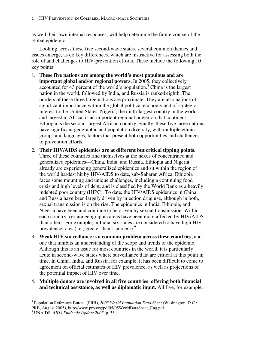as well their own internal responses, will help determine the future course of the global epidemic.

Looking across these five second-wave states, several common themes and issues emerge, as do key differences, which are instructive for assessing both the role of and challenges to HIV-prevention efforts. These include the following 10 key points:

- 1. **These five nations are among the world's most populous and are important global and/or regional powers.** In 2005, they collectively accounted for 43 percent of the world's population.<sup>8</sup> China is the largest nation in the world, followed by India, and Russia is ranked eighth. The borders of these three large nations are proximate. They are also nations of significant importance within the global political economy and of strategic interest to the United States. Nigeria, the ninth-largest country in the world and largest in Africa, is an important regional power on that continent. Ethiopia is the second-largest African country. Finally, these five large nations have significant geographic and population diversity, with multiple ethnic groups and languages, factors that present both opportunities and challenges to prevention efforts.
- 2. **Their HIV/AIDS epidemics are at different but critical tipping points.** Three of these countries find themselves at the nexus of concentrated and generalized epidemics—China, India, and Russia. Ethiopia and Nigeria already are experiencing generalized epidemics and sit within the region of the world hardest hit by HIV/AIDS to date, sub-Saharan Africa. Ethiopia faces some mounting and unique challenges, including a continuing food crisis and high levels of debt, and is classified by the World Bank as a heavily indebted poor country (HIPC). To date, the HIV/AIDS epidemics in China and Russia have been largely driven by injection drug use, although in both, sexual transmission is on the rise. The epidemics in India, Ethiopia, and Nigeria have been and continue to be driven by sexual transmission. Within each country, certain geographic areas have been more affected by HIV/AIDS than others. For example, in India, six states are considered to have high HIVprevalence rates (i.e., greater than 1 percent).<sup>9</sup>
- 3. **Weak HIV surveillance is a common problem across these countries,** and one that inhibits an understanding of the scope and trends of the epidemic. Although this is an issue for most countries in the world, it is particularly acute in second-wave states where surveillance data are critical at this point in time. In China, India, and Russia, for example, it has been difficult to come to agreement on official estimates of HIV prevalence, as well as projections of the potential impact of HIV over time.
- 4. **Multiple donors are involved in all five countries**, **offering both financial and technical assistance, as well as diplomatic input.** All five, for example,

 $\overline{a}$ 8 Population Reference Bureau (PRB), *2005 World Population Data Sheet* (Washington, D.C.: PRB, August 2005), http://www.prb.org/pdf05/05WorldDataSheet\_Eng.pdf.

<sup>9</sup> UNAIDS, *AIDS Epidemic Update 2005*, p. 33.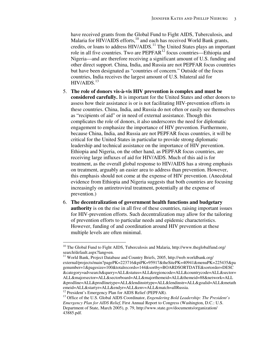have received grants from the Global Fund to Fight AIDS, Tuberculosis, and Malaria for HIV/AIDS efforts, $10$  and each has received World Bank grants, credits, or loans to address HIV/AIDS.<sup>11</sup> The United States plays an important role in all five countries. Two are  $PEPFAR<sup>12</sup>$  focus countries—Ethiopia and Nigeria—and are therefore receiving a significant amount of U.S. funding and other direct support. China, India, and Russia are not PEPFAR focus countries but have been designated as "countries of concern." Outside of the focus countries, India receives the largest amount of U.S. bilateral aid for  $HIV/AIDS.<sup>13</sup>$ 

- 5. **The role of donors vis-à-vis HIV prevention is complex and must be considered carefully.** It is important for the United States and other donors to assess how their assistance is or is not facilitating HIV-prevention efforts in these countries. China, India, and Russia do not often or easily see themselves as "recipients of aid" or in need of external assistance. Though this complicates the role of donors, it also underscores the need for diplomatic engagement to emphasize the importance of HIV prevention. Furthermore, because China, India, and Russia are not PEPFAR focus countries, it will be critical for the United States in particular to provide strong diplomatic leadership and technical assistance on the importance of HIV prevention. Ethiopia and Nigeria, on the other hand, as PEPFAR focus countries, are receiving large influxes of aid for HIV/AIDS. Much of this aid is for treatment, as the overall global response to HIV/AIDS has a strong emphasis on treatment, arguably an easier area to address than prevention. However, this emphasis should not come at the expense of HIV prevention. (Anecdotal evidence from Ethiopia and Nigeria suggests that both countries are focusing increasingly on antiretroviral treatment, potentially at the expense of prevention.)
- 6. **The decentralization of government health functions and budgetary authority** is on the rise in all five of these countries, raising important issues for HIV-prevention efforts. Such decentralization may allow for the tailoring of prevention efforts to particular needs and epidemic characteristics. However, funding of and coordination around HIV prevention at these multiple levels are often minimal.

 $\overline{a}$ 

 $10$  The Global Fund to Fight AIDS, Tuberculosis and Malaria, http://www.theglobalfund.org/ search/default.aspx?lang=en.

<sup>&</sup>lt;sup>11</sup> World Bank, Project Database and Country Briefs, 2005, http://web.worldbank.org/ external/projects/main?pagePK=223716&piPK=95917&theSitePK=40941&menuPK=225435&pa genumber=1&pagesize=100&totalrecords=144&sortby=BOARDSORTDATE&sortorder=DESC &category=advsearch&query=ALL&status=ALL&regioncode=ALL&countrycode=ALL&sector= ALL&majorsector=ALL&sectorboard=ALL&majorthemeid=ALL&themeid=88&network=ALL &prodline=ALL&prodlinetype=ALL&lendinstrtype=ALL&lendinstr=ALL&goalid=ALL&metath emeid=ALL&startyr=ALL&endyr=ALL&env=ALL&match=allRussia.

<sup>&</sup>lt;sup>12</sup> President's Emergency Plan for AIDS Relief (PEPFAR).

<sup>&</sup>lt;sup>13</sup> Office of the U.S. Global AIDS Coordinator, *Engendering Bold Leadership: The President's Emergency Plan for AIDS Relief*, First Annual Report to Congress (Washington, D.C.: U.S. Department of State, March 2005), p. 79, http://www.state.gov/documents/organization/ 43885.pdf.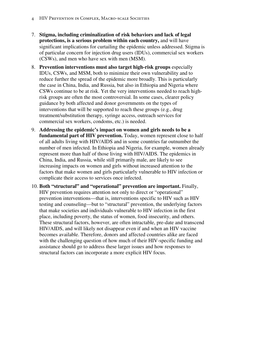- 4 HIV Prevention in Complex, Macro-scale Societies
- 7. **Stigma, including criminalization of risk behaviors and lack of legal protections, is a serious problem within each country,** and will have significant implications for curtailing the epidemic unless addressed. Stigma is of particular concern for injection drug users (IDUs), commercial sex workers (CSWs), and men who have sex with men (MSM).
- 8. **Prevention interventions must also target high-risk groups** especially IDUs, CSWs, and MSM, both to minimize their own vulnerability and to reduce further the spread of the epidemic more broadly. This is particularly the case in China, India, and Russia, but also in Ethiopia and Nigeria where CSWs continue to be at risk. Yet the very interventions needed to reach highrisk groups are often the most controversial. In some cases, clearer policy guidance by both affected and donor governments on the types of interventions that will be supported to reach these groups (e.g., drug treatment/substitution therapy, syringe access, outreach services for commercial sex workers, condoms, etc.) is needed.
- 9. **Addressing the epidemic's impact on women and girls needs to be a fundamental part of HIV prevention.** Today, women represent close to half of all adults living with HIV/AIDS and in some countries far outnumber the number of men infected. In Ethiopia and Nigeria, for example, women already represent more than half of those living with HIV/AIDS. The epidemics in China, India, and Russia, while still primarily male, are likely to see increasing impacts on women and girls without increased attention to the factors that make women and girls particularly vulnerable to HIV infection or complicate their access to services once infected.
- 10. **Both "structural" and "operational" prevention are important.** Finally, HIV prevention requires attention not only to direct or "operational" prevention interventions—that is, interventions specific to HIV such as HIV testing and counseling—but to "structural" prevention, the underlying factors that make societies and individuals vulnerable to HIV infection in the first place, including poverty, the status of women, food insecurity, and others. These structural factors, however, are often intractable, pre-date and transcend HIV/AIDS, and will likely not disappear even if and when an HIV vaccine becomes available. Therefore, donors and affected countries alike are faced with the challenging question of how much of their HIV-specific funding and assistance should go to address these larger issues and how responses to structural factors can incorporate a more explicit HIV focus.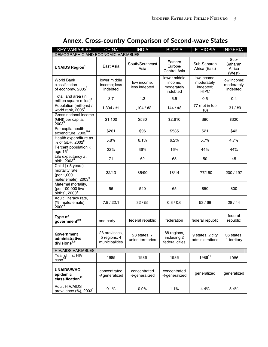| <b>KEY VARIABLES</b>                                                                   | <b>CHINA</b>                                    | <b>INDIA</b>                              | <b>RUSSIA</b>                                     | <b>ETHIOPIA</b>                                       | <b>NIGERIA</b>                        |
|----------------------------------------------------------------------------------------|-------------------------------------------------|-------------------------------------------|---------------------------------------------------|-------------------------------------------------------|---------------------------------------|
| DEMOGRAPHIC AND ECONOMIC VARIABLES                                                     |                                                 |                                           |                                                   |                                                       |                                       |
| <b>UNAIDS Region</b>                                                                   | East Asia                                       | South/Southeast<br>Asia                   | Eastern<br>Europe/<br>Central Asia                | Sub-Saharan<br>Africa (East)                          | Sub-<br>Saharan<br>Africa<br>(West)   |
| World Bank<br>classification<br>of economy, 2005 <sup>2</sup>                          | lower middle<br>income; less<br>indebted        | low income;<br>less indebted              | lower middle<br>income;<br>moderately<br>indebted | low income;<br>moderately<br>indebted;<br><b>HIPC</b> | low income;<br>moderately<br>indebted |
| Total land area (in<br>million square miles) <sup>3</sup>                              | 3.7                                             | 1.3                                       | 6.5                                               | 0.5                                                   | 0.4                                   |
| Population (millions) /<br>world rank, 2005 <sup>4</sup>                               | 1,304 / #1                                      | 1,104 / #2                                | 144/#8                                            | 77 (not in top<br>10)                                 | 131 / #9                              |
| Gross national income<br>(GNI) per capita,<br>2003 <sup>5</sup>                        | \$1,100                                         | \$530                                     | \$2,610                                           | \$90                                                  | \$320                                 |
| Per capita health<br>expenditure, 2002 <sup>5,6</sup>                                  | \$261                                           | \$96                                      | \$535                                             | \$21                                                  | \$43                                  |
| Health expenditure as<br>% of GDP, 2002 <sup>5</sup>                                   | 5.8%                                            | 6.1%                                      | 6.2%                                              | 5.7%                                                  | 4.7%                                  |
| Percent population <<br>age $15^7$                                                     | 22%                                             | 36%                                       | 16%                                               | 44%                                                   | 44%                                   |
| Life expectancy at<br>birth, 2003 <sup>5</sup>                                         | 71                                              | 62                                        | 65                                                | 50                                                    | 45                                    |
| Child $(< 5$ years)<br>mortality rate<br>(per 1,000<br>male/female), 2003 <sup>5</sup> | 32/43                                           | 85/90                                     | 18/14                                             | 177/160                                               | 200 / 197                             |
| Maternal mortality,<br>(per 100,000 live<br>births), 2000 <sup>8</sup>                 | 56                                              | 540                                       | 65                                                | 850                                                   | 800                                   |
| Adult illiteracy rate,<br>(%, male/female),<br>$2000^{8}$                              | 7.9 / 22.1                                      | 32/55                                     | 0.3 / 0.6                                         | 53/69                                                 | 28/44                                 |
| Type of<br>government <sup>3,9</sup>                                                   | one party                                       | federal republic                          | federation                                        | federal republic                                      | federal<br>republic                   |
| Government<br>administrative<br>divisions $^{3,9}$                                     | 23 provinces,<br>5 regions, 4<br>municipalities | 28 states, 7<br>union territories         | 88 regions,<br>including 2<br>federal cities      | 9 states, 2 city<br>administrations                   | 36 states.<br>1 territory             |
| <b>HIV/AIDS VARIABLES</b>                                                              |                                                 |                                           |                                                   |                                                       |                                       |
| Year of first HIV<br>case <sup>10</sup>                                                | 1985                                            | 1986                                      | 1986                                              | 1986 <sup>11</sup>                                    | 1986                                  |
| <b>UNAIDS/WHO</b><br>epidemic<br>classification $12$                                   | concentrated<br>$\rightarrow$ generalized       | concentrated<br>$\rightarrow$ generalized | concentrated<br>$\rightarrow$ generalized         | generalized                                           | generalized                           |
| <b>Adult HIV/AIDS</b><br>prevalence (%), 2003 <sup>1</sup>                             | 0.1%                                            | 0.9%                                      | 1.1%                                              | 4.4%                                                  | 5.4%                                  |

### **Annex. Cross-country Comparison of Second-wave States**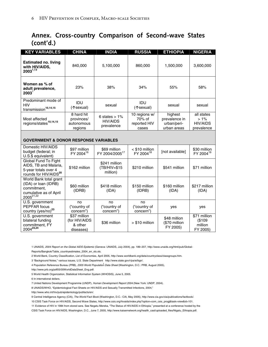#### **Annex. Cross-country Comparison of Second-wave States (cont'd.)**

| <b>KEY VARIABLES</b>                                                                                             | <b>CHINA</b>                                          | <b>INDIA</b>                                      | <b>RUSSIA</b>                                    | <b>ETHIOPIA</b>                                        | <b>NIGERIA</b>                                        |  |  |
|------------------------------------------------------------------------------------------------------------------|-------------------------------------------------------|---------------------------------------------------|--------------------------------------------------|--------------------------------------------------------|-------------------------------------------------------|--|--|
| <b>Estimated no. living</b><br>with HIV/AIDS,<br>$2003^{1,13}$                                                   | 840,000                                               | 5,100,000                                         | 860,000                                          | 1,500,000                                              | 3,600,000                                             |  |  |
| Women as % of<br>adult prevalence,<br>$2003^1$                                                                   | 23%                                                   | 38%                                               | 34%                                              | 55%                                                    | 58%                                                   |  |  |
| Predominant mode of<br><b>HIV</b><br>transmission <sup>10,14,15</sup>                                            | IDU<br>(个sexual)                                      | sexual                                            | IDU<br>(个sexual)                                 | sexual                                                 | sexual                                                |  |  |
| Most affected<br>regions/states <sup>10,14,15</sup>                                                              | 8 hard hit<br>provinces/<br>autonomous<br>regions     | 6 states $> 1\%$<br><b>HIV/AIDS</b><br>prevalence | 10 regions w/<br>70% of<br>reported HIV<br>cases | highest<br>prevalence in<br>urban/peri-<br>urban areas | all states<br>$>1\%$<br><b>HIV/AIDS</b><br>prevalence |  |  |
| <b>GOVERNMENT &amp; DONOR RESPONSE VARIABLES</b>                                                                 |                                                       |                                                   |                                                  |                                                        |                                                       |  |  |
| Domestic HIV/AIDS<br>budget (federal; in<br>U.S.\$ equivalent)                                                   | \$97 million<br>FY 2004 <sup>16</sup>                 | \$69 million<br>FY 2004/200517                    | < \$10 million<br>FY 2004 <sup>18</sup>          | [not available]                                        | \$30 million<br>FY 2004 <sup>19</sup>                 |  |  |
| Global Fund To Fight<br>AIDS, TB and Malaria,<br>5-year totals over 4<br>rounds for HIV/AIDS <sup>20</sup>       | \$162 million                                         | \$241 million<br>(TB/HIV=\$15<br>million)         | \$210 million                                    | \$541 million                                          | \$71 million                                          |  |  |
| World Bank total grant<br>(IDA) or loan (IDRB)<br>commitment,<br>cumulative as of April<br>2005 <sup>21,22</sup> | \$60 million<br>(IDRB)                                | \$418 million<br>(IDA)                            | \$150 million<br>(IDRB)                          | \$160 million<br>(IDA)                                 | \$217 million<br>(IDA)                                |  |  |
| U.S. government<br>PEPFAR focus<br>country (yes/no) <sup>23</sup>                                                | no<br>("country of<br>concern")                       | no<br>("country of<br>concern")                   | no<br>("country of<br>concern")                  | yes                                                    | yes                                                   |  |  |
| U.S. government<br>bilateral funding<br>commitment, FY<br>2004 <sup>23,24</sup>                                  | \$37 million<br>(for HIV/AIDS<br>& other<br>diseases) | \$36 million                                      | > \$10 million                                   | \$48 million<br>(\$70 million<br>FY 2005)              | \$71 million<br>(\$109<br>million<br>FY 2005)         |  |  |

1 UNAIDS, *2004 Report on the Global AIDS Epidemic* (Geneva: UNAIDS, July 2004), pp. 189–207, http://www.unaids.org/html/pub/Global-

Reports/Bangkok/Table\_countryestimates\_2004\_en\_xls.xls.

2 World Bank, Country Classification, List of Economies, April 2005, http://www.worldbank.org/data/countryclass/classgroups.htm.

3 "Background Notes," various issues, U.S. State Department, http://www.state.gov/r/pa/ei/bgn/.

4 Population Reference Bureau (PRB), *2005 World Population Data Sheet* (Washington, D.C.: PRB, August 2005),

http://www.prb.org/pdf05/05WorldDataSheet\_Eng.pdf.

5 World Health Organization, Statistical Information System (WHOSIS), June 5, 2005.

6 In international dollars.

7 United Nations Development Programme (UNDP), *Human Development Report 2004* (New York: UNDP, 2004).

8 UNAIDS/WHO, "Epidemiological Fact Sheets on HIV/AIDS and Sexually Transmitted Infections, 2004,"

http://www.who.int/hiv/pub/epidemiology/pubfacts/en/.

9 Central Intelligence Agency (CIA), *The World Fact Book* (Washington, D.C.: CIA, May 2005), http://www.cia.gov/cia/publications/factbook/.

10 CSIS Task Force on HIV/AIDS, Second Wave States, http://www.csis.org/hivaids/index.php?option=com\_csis\_progj&task=view&id=101.

11 Evidence of HIV in 1984 from stored sera. See Negatu Mereka, "The Status of HIV/AIDS in Ethiopia," presented at a conference hosted by the

CSIS Task Force on HIV/AIDS, Washington, D.C., June 7, 2005, http://www.kaisernetwork.org/health\_cast/uploaded\_files/Nigatu\_Ethiopia.pdf.